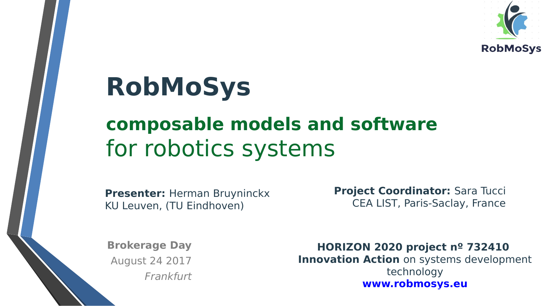

# **RobMoSys**

### **composable models and software**  for robotics systems

**Presenter:** Herman Bruyninckx KU Leuven, (TU Eindhoven)

**Project Coordinator: Sara Tucci** CEA LIST, Paris-Saclay, France

**Brokerage Day** August 24 2017 Frankfurt

**HORIZON 2020 project nº 732410 Innovation Action** on systems development technology **[www.robmosys.eu](http://www.robmosys.eu/)**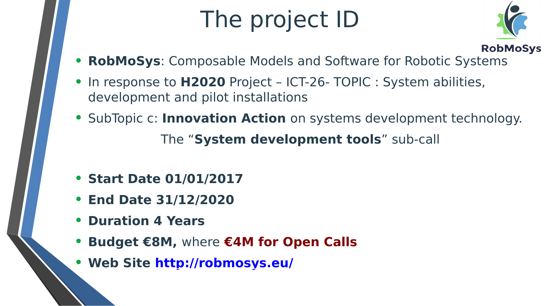# The project ID



- **RobMoSys**: Composable Models and Software for Robotic Systems
- In response to **H2020** Project ICT-26- TOPIC : System abilities, development and pilot installations
- SubTopic c: **Innovation Action** on systems development technology. The "**System development tools**" sub-call
- **Start Date 01/01/2017**
- **End Date 31/12/2020**
- **Duration 4 Years**
- **Budget €8M,** where **€4M for Open Calls**
- **Web Site<http://robmosys.eu/>**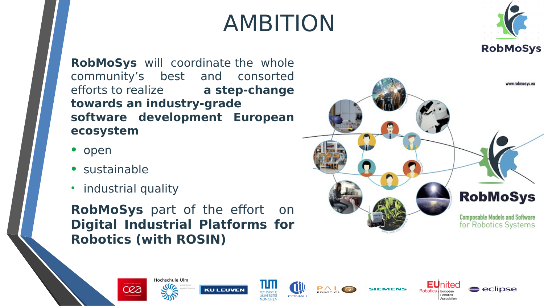## AMBITION



**RobMoSys** will coordinate the whole community's best and consorted efforts to realize **a step-change towards an industry-grade software development European ecosystem** 

- open
- sustainable
- industrial quality

**RobMoSys** part of the effort on **Digital Industrial Platforms for Robotics (with ROSIN)**

















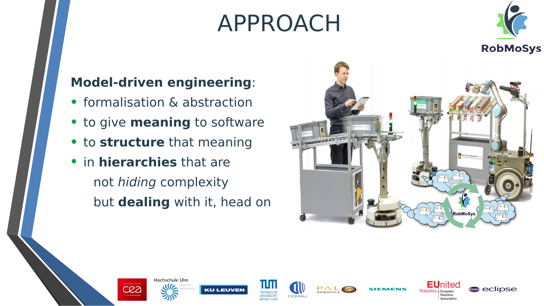## APPROACH



### **Model-driven engineering**:

- formalisation & abstraction
- to give **meaning** to software
- to **structure** that meaning
- in **hierarchies** that are not hiding complexity but **dealing** with it, head on

















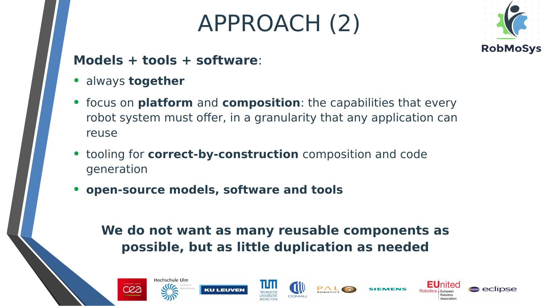## APPROACH (2)



#### **Models + tools + software**:

- always **together**
- focus on **platform** and **composition**: the capabilities that every robot system must offer, in a granularity that any application can reuse
- tooling for **correct-by-construction** composition and code generation
- **open-source models, software and tools**

### **We do not want as many reusable components as possible, but as little duplication as needed**











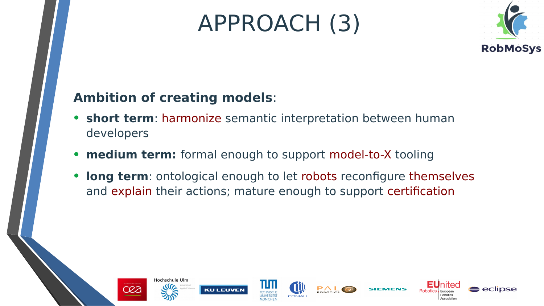## APPROACH (3)



### **Ambition of creating models**:

- **short term**: harmonize semantic interpretation between human developers
- **medium term:** formal enough to support model-to-X tooling
- **long term**: ontological enough to let robots reconfigure themselves and explain their actions; mature enough to support certification















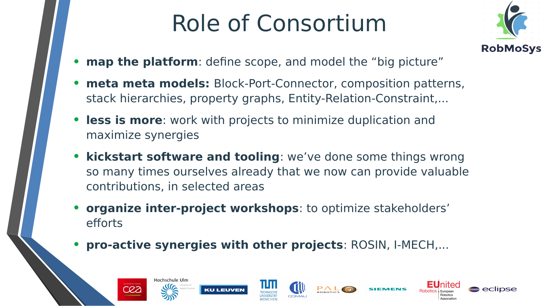# Role of Consortium



- **map the platform**: define scope, and model the "big picture"
- **meta meta models:** Block-Port-Connector, composition patterns, stack hierarchies, property graphs, Entity-Relation-Constraint,...
- **less is more**: work with projects to minimize duplication and maximize synergies
- **kickstart software and tooling**: we've done some things wrong so many times ourselves already that we now can provide valuable contributions, in selected areas
- **organize inter-project workshops**: to optimize stakeholders' efforts
- **pro-active synergies with other projects**: ROSIN, I-MECH,...







AU FIVE





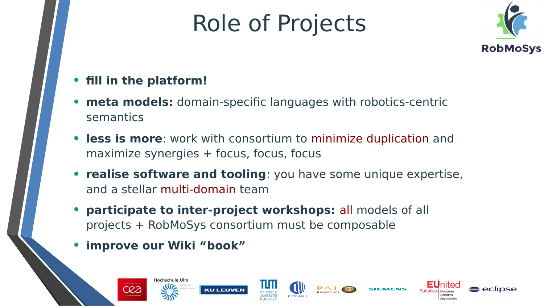# Role of Projects



### • **fill in the platform!**

- **meta models:** domain-specific languages with robotics-centric semantics
- **less is more**: work with consortium to minimize duplication and maximize synergies + focus, focus, focus
- **realise software and tooling**: you have some unique expertise, and a stellar multi-domain team
- **participate to inter-project workshops:** all models of all projects + RobMoSys consortium must be composable
- **improve our Wiki "book"**

**CO3**